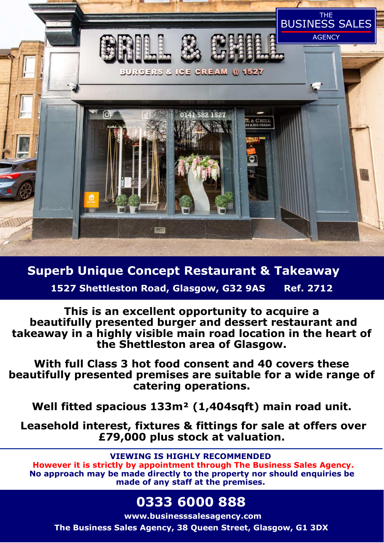

**Superb Unique Concept Restaurant & Takeaway** 

**1527 Shettleston Road, Glasgow, G32 9AS Ref. 2712** 

**This is an excellent opportunity to acquire a beautifully presented burger and dessert restaurant and takeaway in a highly visible main road location in the heart of the Shettleston area of Glasgow.** 

**With full Class 3 hot food consent and 40 covers these beautifully presented premises are suitable for a wide range of catering operations.** 

**Well fitted spacious 133m² (1,404sqft) main road unit.** 

 **Leasehold interest, fixtures & fittings for sale at offers over £79,000 plus stock at valuation.** 

**VIEWING IS HIGHLY RECOMMENDED** 

 **However it is strictly by appointment through The Business Sales Agency. No approach may be made directly to the property nor should enquiries be made of any staff at the premises.** 

# **0333 6000 888**

**www.businesssalesagency.com**

**The Business Sales Agency, 38 Queen Street, Glasgow, G1 3DX**